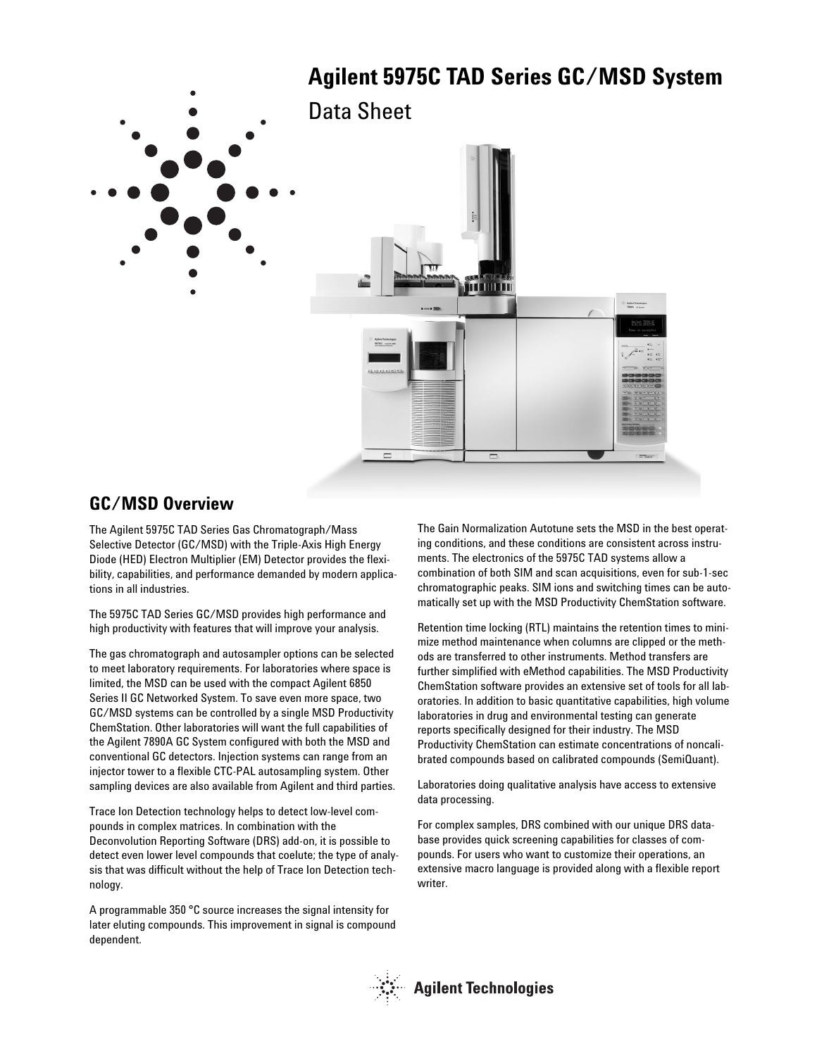

### **GC/MSD Overview**

The Agilent 5975C TAD Series Gas Chromatograph/Mass Selective Detector (GC/MSD) with the Triple-Axis High Energy Diode (HED) Electron Multiplier (EM) Detector provides the flexibility, capabilities, and performance demanded by modern applications in all industries.

The 5975C TAD Series GC/MSD provides high performance and high productivity with features that will improve your analysis.

The gas chromatograph and autosampler options can be selected to meet laboratory requirements. For laboratories where space is limited, the MSD can be used with the compact Agilent 6850 Series II GC Networked System. To save even more space, two GC/MSD systems can be controlled by a single MSD Productivity ChemStation. Other laboratories will want the full capabilities of the Agilent 7890A GC System configured with both the MSD and conventional GC detectors. Injection systems can range from an injector tower to a flexible CTC-PAL autosampling system. Other sampling devices are also available from Agilent and third parties.

Trace Ion Detection technology helps to detect low-level compounds in complex matrices. In combination with the Deconvolution Reporting Software (DRS) add-on, it is possible to detect even lower level compounds that coelute; the type of analysis that was difficult without the help of Trace Ion Detection technology.

A programmable 350 °C source increases the signal intensity for later eluting compounds. This improvement in signal is compound dependent.

The Gain Normalization Autotune sets the MSD in the best operating conditions, and these conditions are consistent across instruments. The electronics of the 5975C TAD systems allow a combination of both SIM and scan acquisitions, even for sub-1-sec chromatographic peaks. SIM ions and switching times can be automatically set up with the MSD Productivity ChemStation software.

Retention time locking (RTL) maintains the retention times to minimize method maintenance when columns are clipped or the methods are transferred to other instruments. Method transfers are further simplified with eMethod capabilities. The MSD Productivity ChemStation software provides an extensive set of tools for all laboratories. In addition to basic quantitative capabilities, high volume laboratories in drug and environmental testing can generate reports specifically designed for their industry. The MSD Productivity ChemStation can estimate concentrations of noncalibrated compounds based on calibrated compounds (SemiQuant).

Laboratories doing qualitative analysis have access to extensive data processing.

For complex samples, DRS combined with our unique DRS database provides quick screening capabilities for classes of compounds. For users who want to customize their operations, an extensive macro language is provided along with a flexible report writer.

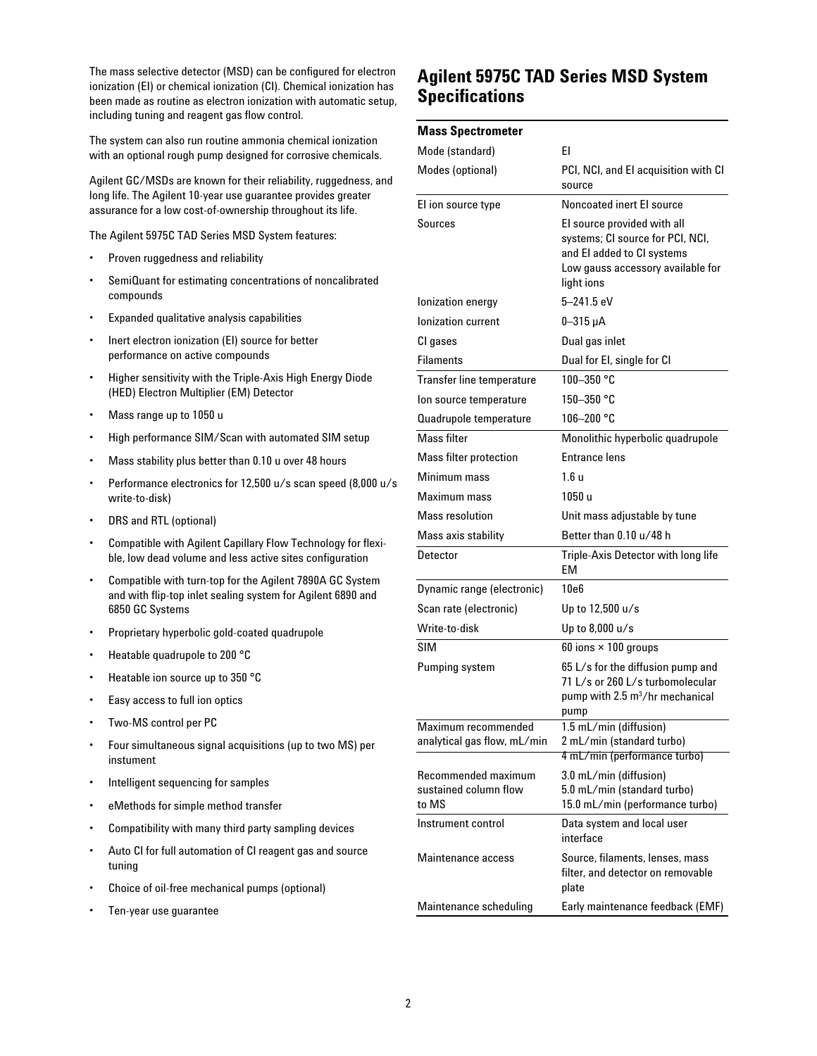The mass selective detector (MSD) can be configured for electron ionization (EI) or chemical ionization (CI). Chemical ionization has been made as routine as electron ionization with automatic setup, including tuning and reagent gas flow control.

The system can also run routine ammonia chemical ionization with an optional rough pump designed for corrosive chemicals.

Agilent GC/MSDs are known for their reliability, ruggedness, and long life. The Agilent 10-year use guarantee provides greater assurance for a low cost-of-ownership throughout its life.

The Agilent 5975C TAD Series MSD System features:

- Proven ruggedness and reliability
- SemiQuant for estimating concentrations of noncalibrated compounds
- Expanded qualitative analysis capabilities
- Inert electron ionization (EI) source for better performance on active compounds
- Higher sensitivity with the Triple-Axis High Energy Diode (HED) Electron Multiplier (EM) Detector
- Mass range up to 1050 u
- High performance SIM/Scan with automated SIM setup
- Mass stability plus better than 0.10 u over 48 hours
- Performance electronics for 12,500 u/s scan speed (8,000 u/s write-to-disk)
- DRS and RTL (optional)
- Compatible with Agilent Capillary Flow Technology for flexible, low dead volume and less active sites configuration
- Compatible with turn-top for the Agilent 7890A GC System and with flip-top inlet sealing system for Agilent 6890 and 6850 GC Systems
- Proprietary hyperbolic gold-coated quadrupole
- Heatable quadrupole to 200 °C
- Heatable ion source up to 350 °C
- Easy access to full ion optics
- Two-MS control per PC
- Four simultaneous signal acquisitions (up to two MS) per instument
- Intelligent sequencing for samples
- eMethods for simple method transfer
- Compatibility with many third party sampling devices
- Auto CI for full automation of CI reagent gas and source tuning
- Choice of oil-free mechanical pumps (optional)
- Ten-year use guarantee

### **Agilent 5975C TAD Series MSD System Specifications**

#### **Mass Spectrometer**

| Mode (standard)                                       | EI                                                                                                                                               |
|-------------------------------------------------------|--------------------------------------------------------------------------------------------------------------------------------------------------|
| Modes (optional)                                      | PCI, NCI, and EI acquisition with CI<br>source                                                                                                   |
| El ion source type                                    | Noncoated inert El source                                                                                                                        |
| Sources                                               | El source provided with all<br>systems; CI source for PCI, NCI,<br>and El added to CI systems<br>Low gauss accessory available for<br>light ions |
| Ionization energy                                     | 5-241.5 eV                                                                                                                                       |
| Ionization current                                    | $0 - 315 \mu A$                                                                                                                                  |
| CI gases                                              | Dual gas inlet                                                                                                                                   |
| <b>Filaments</b>                                      | Dual for El, single for Cl                                                                                                                       |
| <b>Transfer line temperature</b>                      | 100-350 °C                                                                                                                                       |
| Ion source temperature                                | 150–350 °C                                                                                                                                       |
| Quadrupole temperature                                | 106-200 °C                                                                                                                                       |
| Mass filter                                           | Monolithic hyperbolic quadrupole                                                                                                                 |
| Mass filter protection                                | Entrance lens                                                                                                                                    |
| Minimum mass                                          | 1.6 u                                                                                                                                            |
| Maximum mass                                          | 1050u                                                                                                                                            |
| <b>Mass resolution</b>                                | Unit mass adjustable by tune                                                                                                                     |
| Mass axis stability                                   | Better than 0.10 u/48 h                                                                                                                          |
| Detector                                              | Triple-Axis Detector with long life<br>EM                                                                                                        |
| Dynamic range (electronic)                            | 10e6                                                                                                                                             |
| Scan rate (electronic)                                | Up to 12,500 u/s                                                                                                                                 |
| Write-to-disk                                         | Up to 8,000 u/s                                                                                                                                  |
| SIM                                                   | 60 ions $\times$ 100 groups                                                                                                                      |
| Pumping system                                        | 65 L/s for the diffusion pump and<br>71 L/s or 260 L/s turbomolecular<br>pump with 2.5 m <sup>3</sup> /hr mechanical<br>pump                     |
| Maximum recommended                                   | 1.5 mL/min (diffusion)                                                                                                                           |
| analytical gas flow, mL/min                           | 2 mL/min (standard turbo)<br>4 mL/min (performance turbo)                                                                                        |
| Recommended maximum<br>sustained column flow<br>to MS | 3.0 mL/min (diffusion)<br>5.0 mL/min (standard turbo)<br>15.0 mL/min (performance turbo)                                                         |
| Instrument control                                    | Data system and local user<br>interface                                                                                                          |
| Maintenance access                                    | Source, filaments, lenses, mass<br>filter, and detector on removable<br>plate                                                                    |
| Maintenance scheduling                                | Early maintenance feedback (EMF)                                                                                                                 |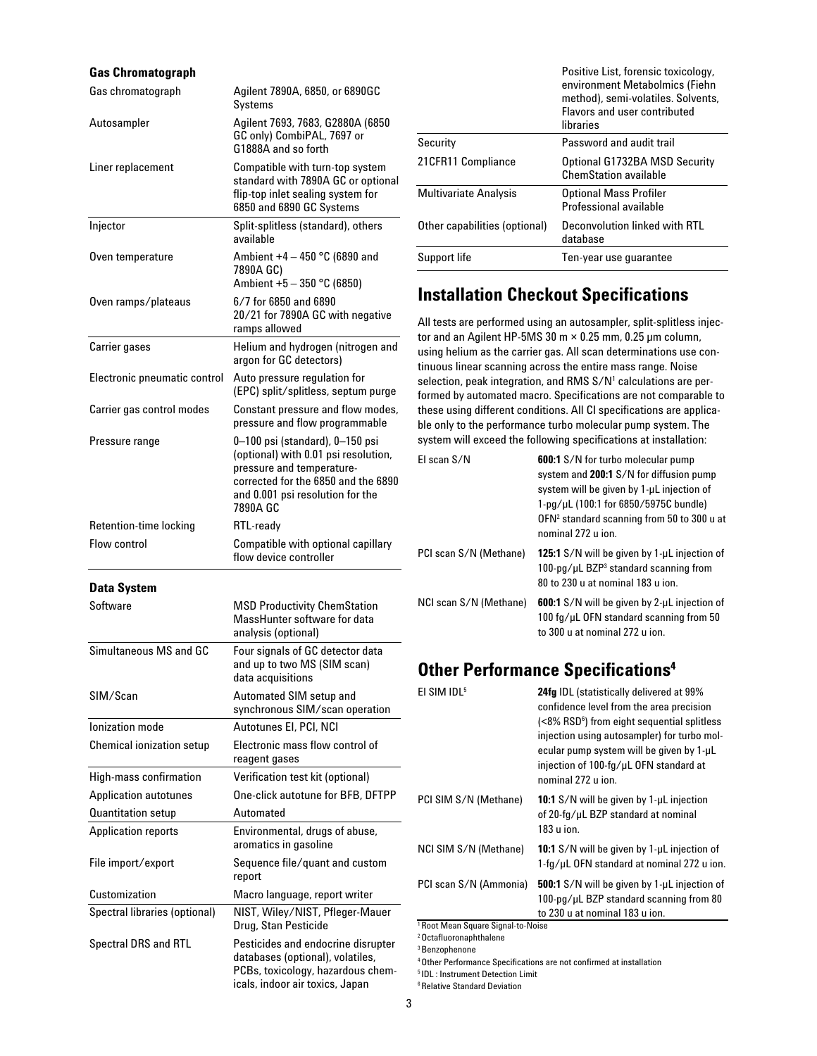| <b>Gas Chromatograph</b>         |                                                                                                                                                                                             |
|----------------------------------|---------------------------------------------------------------------------------------------------------------------------------------------------------------------------------------------|
| Gas chromatograph                | Agilent 7890A, 6850, or 6890GC<br>Systems                                                                                                                                                   |
| Autosampler                      | Agilent 7693, 7683, G2880A (6850<br>GC only) CombiPAL, 7697 or<br>G1888A and so forth                                                                                                       |
| Liner replacement                | Compatible with turn-top system<br>standard with 7890A GC or optional<br>flip-top inlet sealing system for<br>6850 and 6890 GC Systems                                                      |
| Injector                         | Split-splitless (standard), others<br>available                                                                                                                                             |
| Oven temperature                 | Ambient $+4 - 450$ °C (6890 and<br>7890A GC)<br>Ambient +5 - 350 °C (6850)                                                                                                                  |
| Oven ramps/plateaus              | 6/7 for 6850 and 6890<br>20/21 for 7890A GC with negative<br>ramps allowed                                                                                                                  |
| <b>Carrier gases</b>             | Helium and hydrogen (nitrogen and<br>argon for GC detectors)                                                                                                                                |
| Electronic pneumatic control     | Auto pressure regulation for<br>(EPC) split/splitless, septum purge                                                                                                                         |
| Carrier gas control modes        | Constant pressure and flow modes,<br>pressure and flow programmable                                                                                                                         |
| Pressure range                   | 0-100 psi (standard), 0-150 psi<br>(optional) with 0.01 psi resolution,<br>pressure and temperature-<br>corrected for the 6850 and the 6890<br>and 0.001 psi resolution for the<br>7890A GC |
| Retention-time locking           | RTL-ready                                                                                                                                                                                   |
| Flow control                     | Compatible with optional capillary<br>flow device controller                                                                                                                                |
| <b>Data System</b>               |                                                                                                                                                                                             |
| Software                         | <b>MSD Productivity ChemStation</b><br>MassHunter software for data<br>analysis (optional)                                                                                                  |
| Simultaneous MS and GC           | Four signals of GC detector data<br>and up to two MS (SIM scan)<br>data acquisitions                                                                                                        |
| SIM/Scan                         | Automated SIM setup and<br>synchronous SIM/scan operation                                                                                                                                   |
| lonization mode                  | Autotunes El, PCI, NCI                                                                                                                                                                      |
| <b>Chemical ionization setup</b> | Electronic mass flow control of<br>reagent gases                                                                                                                                            |
| High-mass confirmation           | Verification test kit (optional)                                                                                                                                                            |
| <b>Application autotunes</b>     | One-click autotune for BFB, DFTPP                                                                                                                                                           |
| <b>Quantitation setup</b>        | Automated                                                                                                                                                                                   |
| <b>Application reports</b>       | Environmental, drugs of abuse,<br>aromatics in gasoline                                                                                                                                     |
| File import/export               | Sequence file/quant and custom<br>report                                                                                                                                                    |
| Customization                    | Macro language, report writer                                                                                                                                                               |
| Spectral libraries (optional)    | NIST, Wiley/NIST, Pfleger-Mauer<br>Drug, Stan Pesticide                                                                                                                                     |
| <b>Spectral DRS and RTL</b>      | Pesticides and endocrine disrupter<br>databases (optional), volatiles,                                                                                                                      |

|                               | Positive List, forensic toxicology,<br>environment Metabolmics (Fiehn<br>method), semi-volatiles. Solvents,<br><b>Flavors and user contributed</b><br>libraries |
|-------------------------------|-----------------------------------------------------------------------------------------------------------------------------------------------------------------|
| Security                      | Password and audit trail                                                                                                                                        |
| 21CFR11 Compliance            | Optional G1732BA MSD Security<br><b>ChemStation available</b>                                                                                                   |
| Multivariate Analysis         | <b>Optional Mass Profiler</b><br>Professional available                                                                                                         |
| Other capabilities (optional) | Deconvolution linked with RTL<br>database                                                                                                                       |
| Support life                  | Ten-year use quarantee                                                                                                                                          |

### **Installation Checkout Specifications**

All tests are performed using an autosampler, split-splitless injector and an Agilent HP-5MS 30 m × 0.25 mm, 0.25 µm column, using helium as the carrier gas. All scan determinations use continuous linear scanning across the entire mass range. Noise selection, peak integration, and RMS S/N<sup>1</sup> calculations are performed by automated macro. Specifications are not comparable to these using different conditions. All CI specifications are applicable only to the performance turbo molecular pump system. The system will exceed the following specifications at installation:

| El scan S/N            | <b>600:1</b> S/N for turbo molecular pump<br>system and 200:1 S/N for diffusion pump<br>system will be given by 1-µL injection of<br>1-pg/uL (100:1 for 6850/5975C bundle)<br>OFN <sup>2</sup> standard scanning from 50 to 300 u at<br>nominal 272 u ion. |
|------------------------|------------------------------------------------------------------------------------------------------------------------------------------------------------------------------------------------------------------------------------------------------------|
| PCI scan S/N (Methane) | 125:1 S/N will be given by 1-µL injection of<br>$100$ -pg/uL BZP <sup>3</sup> standard scanning from<br>80 to 230 u at nominal 183 u ion.                                                                                                                  |
| NCI scan S/N (Methane) | <b>600:1</b> S/N will be given by 2-uL injection of<br>100 fg/uL OFN standard scanning from 50<br>to 300 u at nominal 272 u ion.                                                                                                                           |

# **Other Performance Specifications4**

| EI SIM IDL <sup>5</sup>                                                 | 24fg IDL (statistically delivered at 99%<br>confidence level from the area precision<br>(<8% RSD <sup>6</sup> ) from eight sequential splitless<br>injection using autosampler) for turbo mol-<br>ecular pump system will be given by 1-uL<br>injection of 100-fg/uL OFN standard at<br>nominal 272 u ion. |
|-------------------------------------------------------------------------|------------------------------------------------------------------------------------------------------------------------------------------------------------------------------------------------------------------------------------------------------------------------------------------------------------|
| PCI SIM S/N (Methane)                                                   | <b>10:1</b> S/N will be given by 1-µL injection<br>of 20-fg/uL BZP standard at nominal<br>183 u ion.                                                                                                                                                                                                       |
| NCI SIM S/N (Methane)                                                   | 10:1 S/N will be given by 1-µL injection of<br>1-fg/uL OFN standard at nominal 272 u ion.                                                                                                                                                                                                                  |
| PCI scan S/N (Ammonia)<br><sup>1</sup> Root Mean Square Signal-to-Noise | 500:1 S/N will be given by 1-µL injection of<br>100-pg/uL BZP standard scanning from 80<br>to 230 u at nominal 183 u ion.                                                                                                                                                                                  |

2 Octafluoronaphthalene

3 Benzophenone

4 Other Performance Specifications are not confirmed at installation

6 Relative Standard Deviation

PCBs, toxicology, hazardous chemicals, indoor air toxics, Japan

<sup>5</sup> IDL : Instrument Detection Limit